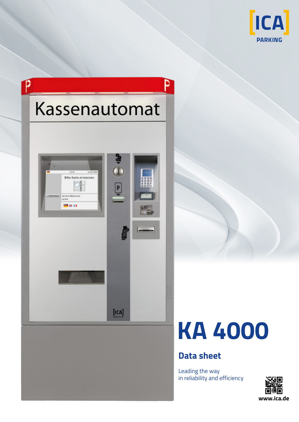





## **Data sheet**

Leading the way in reliability and efficiency